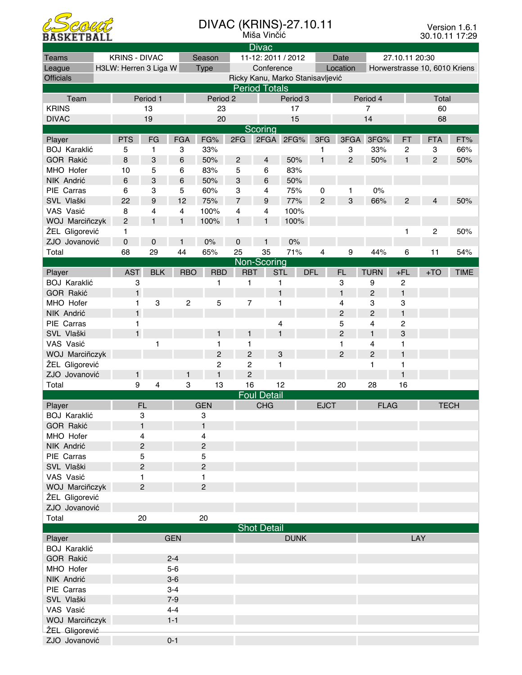

## DIVAC (KRINS)-27.10.11

Miša Vinčić

|                     |                      | <b>Divac</b>          |              |                |                |                         |                                  |                    |                |                |                                           |                |                |             |
|---------------------|----------------------|-----------------------|--------------|----------------|----------------|-------------------------|----------------------------------|--------------------|----------------|----------------|-------------------------------------------|----------------|----------------|-------------|
| <b>Teams</b>        | <b>KRINS - DIVAC</b> |                       |              |                | Season         |                         |                                  | 11-12: 2011 / 2012 |                |                | Date<br>27.10.11 20:30                    |                |                |             |
| League              |                      | H3LW: Herren 3 Liga W |              |                | <b>Type</b>    |                         |                                  | Conference         |                |                | Location<br>Horwerstrasse 10, 6010 Kriens |                |                |             |
| <b>Officials</b>    |                      |                       |              |                |                |                         | Ricky Kanu, Marko Stanisavljević |                    |                |                |                                           |                |                |             |
|                     |                      |                       |              |                |                |                         | <b>Period Totals</b>             |                    |                |                |                                           |                |                |             |
| Team                |                      |                       | Period 1     |                | Period 2       |                         |                                  | Period 3           |                |                | Period 4                                  |                | Total          |             |
| <b>KRINS</b>        |                      |                       | 13           |                | 23             |                         | 17                               |                    |                |                | 7                                         |                | 60             |             |
| <b>DIVAC</b>        |                      | 19                    |              |                | 20             |                         | 15                               |                    |                |                | 14                                        |                | 68             |             |
|                     |                      |                       |              |                |                |                         | Scoring                          |                    |                |                |                                           |                |                |             |
| Player              |                      | <b>PTS</b>            | FG           | <b>FGA</b>     | FG%            | 2FG                     |                                  | 2FGA 2FG%          | 3FG            | 3FGA           | 3FG%                                      | <b>FT</b>      | <b>FTA</b>     | FT%         |
| <b>BOJ Karaklić</b> |                      | 5                     | 1            | 3              | 33%            |                         |                                  |                    | 1              | 3              | 33%                                       | 2              | 3              | 66%         |
| <b>GOR Rakić</b>    |                      | 8                     | 3            | 6              | 50%            | $\overline{\mathbf{c}}$ | $\overline{4}$                   | 50%                | $\mathbf{1}$   | $\overline{2}$ | 50%                                       | $\mathbf{1}$   | $\overline{c}$ | 50%         |
| MHO Hofer           |                      | 10                    | 5            | 6              | 83%            | 5                       |                                  | 83%                |                |                |                                           |                |                |             |
|                     |                      |                       |              |                |                |                         | 6                                |                    |                |                |                                           |                |                |             |
| NIK Andrić          |                      | 6                     | 3            | 6              | 50%            | 3                       | 6                                | 50%                |                |                |                                           |                |                |             |
| PIE Carras          |                      | 6                     | 3            | 5              | 60%            | 3                       | 4                                | 75%                | 0              | 1              | 0%                                        |                |                |             |
| SVL Vlaški          |                      | 22                    | 9            | 12             | 75%            | $\overline{7}$          | 9                                | 77%                | $\overline{2}$ | 3              | 66%                                       | 2              | 4              | 50%         |
| VAS Vasić           |                      | 8                     | 4            | $\overline{4}$ | 100%           | 4                       | 4                                | 100%               |                |                |                                           |                |                |             |
| WOJ Marciñczyk      |                      | $\overline{c}$        | $\mathbf{1}$ | $\mathbf{1}$   | 100%           | $\mathbf{1}$            | $\mathbf{1}$                     | 100%               |                |                |                                           |                |                |             |
| ŽEL Gligorević      |                      | 1                     |              |                |                |                         |                                  |                    |                |                |                                           | 1              | $\overline{c}$ | 50%         |
| ZJO Jovanović       |                      | 0                     | 0            | 1              | 0%             | $\pmb{0}$               | 1                                | 0%                 |                |                |                                           |                |                |             |
| Total               |                      | 68                    | 29           | 44             | 65%            | 25                      | 35                               | 71%                | 4              | 9              | 44%                                       | 6              | 11             | 54%         |
|                     |                      |                       |              |                |                |                         | Non-Scoring                      |                    |                |                |                                           |                |                |             |
| Player              |                      | <b>AST</b>            | <b>BLK</b>   | <b>RBO</b>     | <b>RBD</b>     | <b>RBT</b>              | <b>STL</b>                       |                    | <b>DFL</b>     | <b>FL</b>      | <b>TURN</b>                               | $+FL$          | $+TO$          | <b>TIME</b> |
| <b>BOJ Karaklić</b> |                      | 3                     |              |                | 1              | 1                       | 1                                |                    |                | 3              | 9                                         | $\overline{c}$ |                |             |
| <b>GOR Rakić</b>    |                      | $\mathbf{1}$          |              |                |                |                         | $\mathbf{1}$                     |                    |                | $\mathbf{1}$   | $\overline{c}$                            | $\mathbf{1}$   |                |             |
| MHO Hofer           |                      | 1                     | 3            | $\overline{c}$ | 5              | $\overline{7}$          | 1                                |                    |                | 4              | 3                                         | 3              |                |             |
| NIK Andrić          |                      | 1                     |              |                |                |                         |                                  |                    |                | $\overline{c}$ | $\overline{c}$                            | $\mathbf{1}$   |                |             |
| PIE Carras          |                      | 1                     |              |                |                |                         | 4                                |                    |                | 5              | 4                                         | $\overline{c}$ |                |             |
| SVL Vlaški          |                      | $\mathbf{1}$          |              |                | 1              | 1                       | $\mathbf{1}$                     |                    |                | $\overline{c}$ | $\mathbf{1}$                              | 3              |                |             |
| VAS Vasić           |                      |                       | 1            |                | 1              | 1                       |                                  |                    |                | 1              | 4                                         | 1              |                |             |
| WOJ Marciñczyk      |                      |                       |              |                | $\overline{c}$ | $\overline{c}$          | 3                                |                    |                | $\overline{c}$ | $\overline{c}$                            | $\mathbf{1}$   |                |             |
|                     |                      |                       |              |                |                |                         |                                  |                    |                |                |                                           |                |                |             |
| ŽEL Gligorević      |                      |                       |              |                | 2              | $\overline{\mathbf{c}}$ | 1                                |                    |                |                | 1                                         | 1              |                |             |
| ZJO Jovanović       |                      | $\mathbf{1}$          |              |                | $\mathbf{1}$   | $\overline{c}$          |                                  |                    |                |                |                                           | $\mathbf{1}$   |                |             |
| Total               |                      | 9                     | 4            | 3              | 13             | 16                      | 12                               |                    |                | 20             | 28                                        | 16             |                |             |
|                     |                      |                       |              |                |                |                         | <b>Foul Detail</b>               |                    |                |                |                                           |                |                |             |
| Player              |                      | <b>FL</b>             |              |                | <b>GEN</b>     |                         | <b>CHG</b>                       |                    | <b>EJCT</b>    |                | <b>FLAG</b>                               |                |                | <b>TECH</b> |
| <b>BOJ Karaklić</b> |                      | 3                     |              |                | 3              |                         |                                  |                    |                |                |                                           |                |                |             |
| GOR Rakić           |                      | $\blacksquare$        |              |                | $\mathbf{1}$   |                         |                                  |                    |                |                |                                           |                |                |             |
| MHO Hofer           |                      | 4                     |              |                | 4              |                         |                                  |                    |                |                |                                           |                |                |             |
| NIK Andrić          |                      | $\sqrt{2}$            |              |                | $\overline{c}$ |                         |                                  |                    |                |                |                                           |                |                |             |
| PIE Carras          |                      | 5                     |              |                | 5              |                         |                                  |                    |                |                |                                           |                |                |             |
| SVL Vlaški          |                      | $\sqrt{2}$            |              | $\overline{c}$ |                |                         |                                  |                    |                |                |                                           |                |                |             |
| VAS Vasić           |                      | 1                     |              |                | 1              |                         |                                  |                    |                |                |                                           |                |                |             |
| WOJ Marciñczyk      |                      | $\sqrt{2}$            |              |                | $\overline{c}$ |                         |                                  |                    |                |                |                                           |                |                |             |
| ŽEL Gligorević      |                      |                       |              |                |                |                         |                                  |                    |                |                |                                           |                |                |             |
| ZJO Jovanović       |                      |                       |              |                |                |                         |                                  |                    |                |                |                                           |                |                |             |
| Total               |                      | 20                    |              |                | 20             |                         |                                  |                    |                |                |                                           |                |                |             |
|                     |                      |                       |              |                |                |                         | <b>Shot Detail</b>               |                    |                |                |                                           |                |                |             |
| Player              |                      |                       |              | <b>GEN</b>     |                |                         |                                  | <b>DUNK</b>        |                |                |                                           | LAY            |                |             |
| <b>BOJ Karaklić</b> |                      |                       |              |                |                |                         |                                  |                    |                |                |                                           |                |                |             |
| GOR Rakić           |                      |                       |              | $2 - 4$        |                |                         |                                  |                    |                |                |                                           |                |                |             |
| MHO Hofer           |                      |                       |              |                |                |                         |                                  |                    |                |                |                                           |                |                |             |
|                     |                      | $5-6$                 |              |                |                |                         |                                  |                    |                |                |                                           |                |                |             |
| NIK Andrić          |                      | $3-6$                 |              |                |                |                         |                                  |                    |                |                |                                           |                |                |             |
| PIE Carras          |                      |                       |              | $3 - 4$        |                |                         |                                  |                    |                |                |                                           |                |                |             |
| SVL Vlaški          |                      |                       |              | $7 - 9$        |                |                         |                                  |                    |                |                |                                           |                |                |             |
| VAS Vasić           |                      |                       |              | $4 - 4$        |                |                         |                                  |                    |                |                |                                           |                |                |             |
| WOJ Marciñczyk      |                      |                       |              | $1 - 1$        |                |                         |                                  |                    |                |                |                                           |                |                |             |
| ŽEL Gligorević      |                      |                       |              |                |                |                         |                                  |                    |                |                |                                           |                |                |             |
| ZJO Jovanović       |                      |                       |              | $0 - 1$        |                |                         |                                  |                    |                |                |                                           |                |                |             |